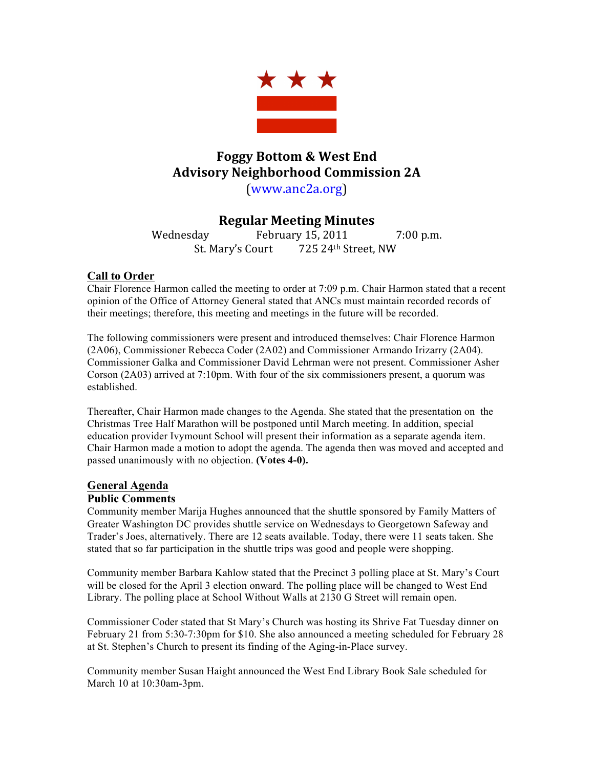

# **Foggy Bottom & West End Advisory Neighborhood Commission 2A**

(www.anc2a.org)

# **Regular Meeting Minutes**

Wednesday February 15, 2011 7:00 p.m. St. Mary's Court 725 24th Street, NW

### **Call to Order**

Chair Florence Harmon called the meeting to order at 7:09 p.m. Chair Harmon stated that a recent opinion of the Office of Attorney General stated that ANCs must maintain recorded records of their meetings; therefore, this meeting and meetings in the future will be recorded.

The following commissioners were present and introduced themselves: Chair Florence Harmon (2A06), Commissioner Rebecca Coder (2A02) and Commissioner Armando Irizarry (2A04). Commissioner Galka and Commissioner David Lehrman were not present. Commissioner Asher Corson (2A03) arrived at 7:10pm. With four of the six commissioners present, a quorum was established.

Thereafter, Chair Harmon made changes to the Agenda. She stated that the presentation on the Christmas Tree Half Marathon will be postponed until March meeting. In addition, special education provider Ivymount School will present their information as a separate agenda item. Chair Harmon made a motion to adopt the agenda. The agenda then was moved and accepted and passed unanimously with no objection. **(Votes 4-0).** 

### **General Agenda**

### **Public Comments**

Community member Marija Hughes announced that the shuttle sponsored by Family Matters of Greater Washington DC provides shuttle service on Wednesdays to Georgetown Safeway and Trader's Joes, alternatively. There are 12 seats available. Today, there were 11 seats taken. She stated that so far participation in the shuttle trips was good and people were shopping.

Community member Barbara Kahlow stated that the Precinct 3 polling place at St. Mary's Court will be closed for the April 3 election onward. The polling place will be changed to West End Library. The polling place at School Without Walls at 2130 G Street will remain open.

Commissioner Coder stated that St Mary's Church was hosting its Shrive Fat Tuesday dinner on February 21 from 5:30-7:30pm for \$10. She also announced a meeting scheduled for February 28 at St. Stephen's Church to present its finding of the Aging-in-Place survey.

Community member Susan Haight announced the West End Library Book Sale scheduled for March 10 at 10:30am-3pm.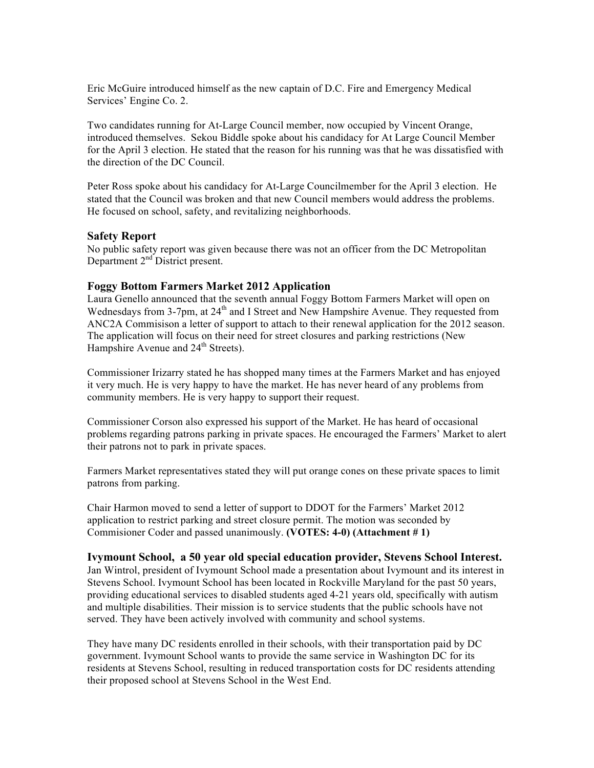Eric McGuire introduced himself as the new captain of D.C. Fire and Emergency Medical Services' Engine Co. 2.

Two candidates running for At-Large Council member, now occupied by Vincent Orange, introduced themselves. Sekou Biddle spoke about his candidacy for At Large Council Member for the April 3 election. He stated that the reason for his running was that he was dissatisfied with the direction of the DC Council.

Peter Ross spoke about his candidacy for At-Large Councilmember for the April 3 election. He stated that the Council was broken and that new Council members would address the problems. He focused on school, safety, and revitalizing neighborhoods.

#### **Safety Report**

No public safety report was given because there was not an officer from the DC Metropolitan Department 2<sup>nd</sup> District present.

#### **Foggy Bottom Farmers Market 2012 Application**

Laura Genello announced that the seventh annual Foggy Bottom Farmers Market will open on Wednesdays from 3-7pm, at  $24<sup>th</sup>$  and I Street and New Hampshire Avenue. They requested from ANC2A Commisison a letter of support to attach to their renewal application for the 2012 season. The application will focus on their need for street closures and parking restrictions (New Hampshire Avenue and 24<sup>th</sup> Streets).

Commissioner Irizarry stated he has shopped many times at the Farmers Market and has enjoyed it very much. He is very happy to have the market. He has never heard of any problems from community members. He is very happy to support their request.

Commissioner Corson also expressed his support of the Market. He has heard of occasional problems regarding patrons parking in private spaces. He encouraged the Farmers' Market to alert their patrons not to park in private spaces.

Farmers Market representatives stated they will put orange cones on these private spaces to limit patrons from parking.

Chair Harmon moved to send a letter of support to DDOT for the Farmers' Market 2012 application to restrict parking and street closure permit. The motion was seconded by Commisioner Coder and passed unanimously. **(VOTES: 4-0) (Attachment # 1)**

#### **Ivymount School, a 50 year old special education provider, Stevens School Interest.**

Jan Wintrol, president of Ivymount School made a presentation about Ivymount and its interest in Stevens School. Ivymount School has been located in Rockville Maryland for the past 50 years, providing educational services to disabled students aged 4-21 years old, specifically with autism and multiple disabilities. Their mission is to service students that the public schools have not served. They have been actively involved with community and school systems.

They have many DC residents enrolled in their schools, with their transportation paid by DC government. Ivymount School wants to provide the same service in Washington DC for its residents at Stevens School, resulting in reduced transportation costs for DC residents attending their proposed school at Stevens School in the West End.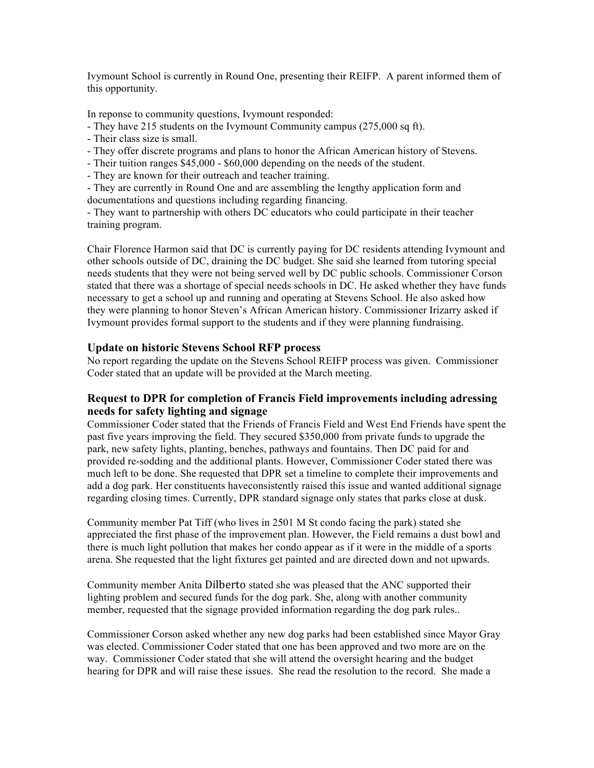Ivymount School is currently in Round One, presenting their REIFP. A parent informed them of this opportunity.

In reponse to community questions, Ivymount responded:

- They have 215 students on the Ivymount Community campus (275,000 sq ft).
- Their class size is small.
- They offer discrete programs and plans to honor the African American history of Stevens.
- Their tuition ranges \$45,000 \$60,000 depending on the needs of the student.
- They are known for their outreach and teacher training.

- They are currently in Round One and are assembling the lengthy application form and documentations and questions including regarding financing.

- They want to partnership with others DC educators who could participate in their teacher training program.

Chair Florence Harmon said that DC is currently paying for DC residents attending Ivymount and other schools outside of DC, draining the DC budget. She said she learned from tutoring special needs students that they were not being served well by DC public schools. Commissioner Corson stated that there was a shortage of special needs schools in DC. He asked whether they have funds necessary to get a school up and running and operating at Stevens School. He also asked how they were planning to honor Steven's African American history. Commissioner Irizarry asked if Ivymount provides formal support to the students and if they were planning fundraising.

#### **Update on historic Stevens School RFP process**

No report regarding the update on the Stevens School REIFP process was given. Commissioner Coder stated that an update will be provided at the March meeting.

### **Request to DPR for completion of Francis Field improvements including adressing needs for safety lighting and signage**

Commissioner Coder stated that the Friends of Francis Field and West End Friends have spent the past five years improving the field. They secured \$350,000 from private funds to upgrade the park, new safety lights, planting, benches, pathways and fountains. Then DC paid for and provided re-sodding and the additional plants. However, Commissioner Coder stated there was much left to be done. She requested that DPR set a timeline to complete their improvements and add a dog park. Her constituents haveconsistently raised this issue and wanted additional signage regarding closing times. Currently, DPR standard signage only states that parks close at dusk.

Community member Pat Tiff (who lives in 2501 M St condo facing the park) stated she appreciated the first phase of the improvement plan. However, the Field remains a dust bowl and there is much light pollution that makes her condo appear as if it were in the middle of a sports arena. She requested that the light fixtures get painted and are directed down and not upwards.

Community member Anita Dilberto stated she was pleased that the ANC supported their lighting problem and secured funds for the dog park. She, along with another community member, requested that the signage provided information regarding the dog park rules..

Commissioner Corson asked whether any new dog parks had been established since Mayor Gray was elected. Commissioner Coder stated that one has been approved and two more are on the way. Commissioner Coder stated that she will attend the oversight hearing and the budget hearing for DPR and will raise these issues. She read the resolution to the record. She made a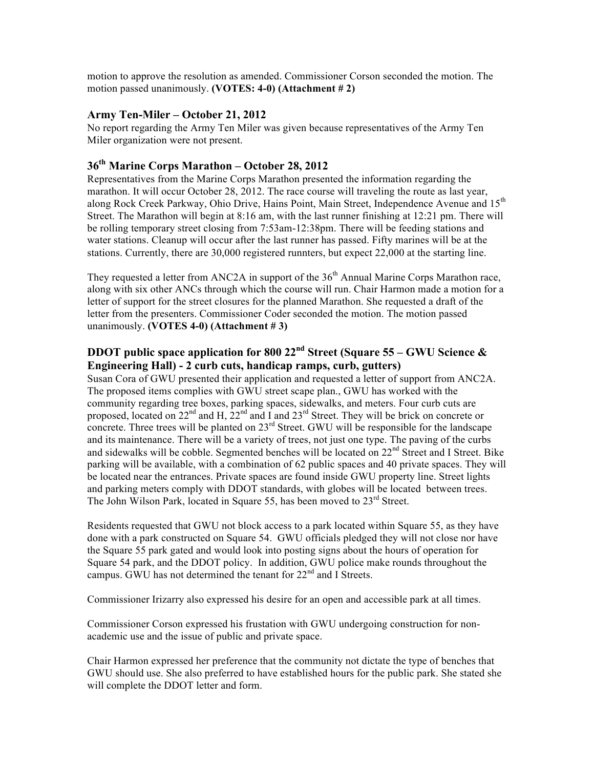motion to approve the resolution as amended. Commissioner Corson seconded the motion. The motion passed unanimously. **(VOTES: 4-0) (Attachment # 2)**

#### **Army Ten-Miler – October 21, 2012**

No report regarding the Army Ten Miler was given because representatives of the Army Ten Miler organization were not present.

# **36th Marine Corps Marathon – October 28, 2012**

Representatives from the Marine Corps Marathon presented the information regarding the marathon. It will occur October 28, 2012. The race course will traveling the route as last year, along Rock Creek Parkway, Ohio Drive, Hains Point, Main Street, Independence Avenue and 15<sup>th</sup> Street. The Marathon will begin at 8:16 am, with the last runner finishing at 12:21 pm. There will be rolling temporary street closing from 7:53am-12:38pm. There will be feeding stations and water stations. Cleanup will occur after the last runner has passed. Fifty marines will be at the stations. Currently, there are 30,000 registered runnters, but expect 22,000 at the starting line.

They requested a letter from ANC2A in support of the  $36<sup>th</sup>$  Annual Marine Corps Marathon race, along with six other ANCs through which the course will run. Chair Harmon made a motion for a letter of support for the street closures for the planned Marathon. She requested a draft of the letter from the presenters. Commissioner Coder seconded the motion. The motion passed unanimously. **(VOTES 4-0) (Attachment # 3)**

# **DDOT public space application for 800 22nd Street (Square 55 – GWU Science & Engineering Hall) - 2 curb cuts, handicap ramps, curb, gutters)**

Susan Cora of GWU presented their application and requested a letter of support from ANC2A. The proposed items complies with GWU street scape plan., GWU has worked with the community regarding tree boxes, parking spaces, sidewalks, and meters. Four curb cuts are proposed, located on  $22<sup>nd</sup>$  and H,  $22<sup>nd</sup>$  and I and  $23<sup>rd</sup>$  Street. They will be brick on concrete or concrete. Three trees will be planted on  $23<sup>rd</sup>$  Street. GWU will be responsible for the landscape and its maintenance. There will be a variety of trees, not just one type. The paving of the curbs and sidewalks will be cobble. Segmented benches will be located on 22<sup>nd</sup> Street and I Street. Bike parking will be available, with a combination of 62 public spaces and 40 private spaces. They will be located near the entrances. Private spaces are found inside GWU property line. Street lights and parking meters comply with DDOT standards, with globes will be located between trees. The John Wilson Park, located in Square 55, has been moved to 23<sup>rd</sup> Street.

Residents requested that GWU not block access to a park located within Square 55, as they have done with a park constructed on Square 54. GWU officials pledged they will not close nor have the Square 55 park gated and would look into posting signs about the hours of operation for Square 54 park, and the DDOT policy. In addition, GWU police make rounds throughout the campus. GWU has not determined the tenant for  $22<sup>nd</sup>$  and I Streets.

Commissioner Irizarry also expressed his desire for an open and accessible park at all times.

Commissioner Corson expressed his frustation with GWU undergoing construction for nonacademic use and the issue of public and private space.

Chair Harmon expressed her preference that the community not dictate the type of benches that GWU should use. She also preferred to have established hours for the public park. She stated she will complete the DDOT letter and form.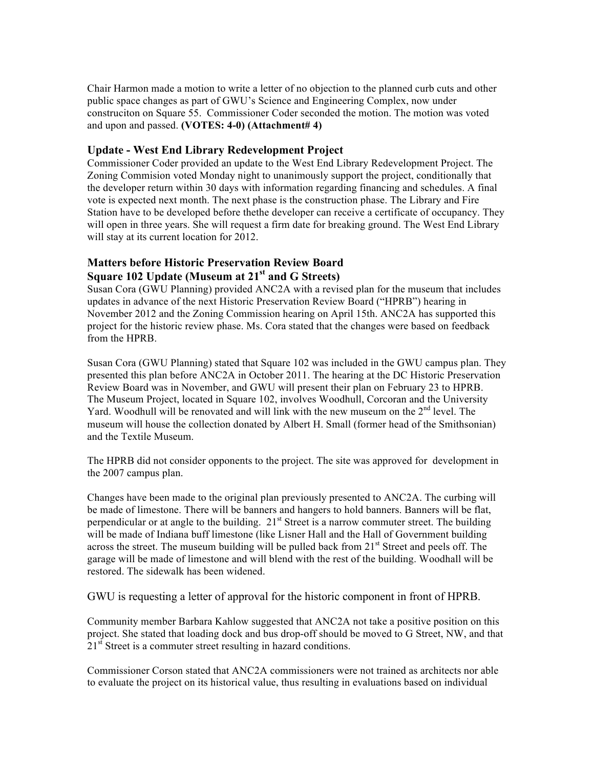Chair Harmon made a motion to write a letter of no objection to the planned curb cuts and other public space changes as part of GWU's Science and Engineering Complex, now under construciton on Square 55. Commissioner Coder seconded the motion. The motion was voted and upon and passed. **(VOTES: 4-0) (Attachment# 4)**

#### **Update - West End Library Redevelopment Project**

Commissioner Coder provided an update to the West End Library Redevelopment Project. The Zoning Commision voted Monday night to unanimously support the project, conditionally that the developer return within 30 days with information regarding financing and schedules. A final vote is expected next month. The next phase is the construction phase. The Library and Fire Station have to be developed before thethe developer can receive a certificate of occupancy. They will open in three years. She will request a firm date for breaking ground. The West End Library will stay at its current location for 2012.

### **Matters before Historic Preservation Review Board Square 102 Update (Museum at 21st and G Streets)**

Susan Cora (GWU Planning) provided ANC2A with a revised plan for the museum that includes updates in advance of the next Historic Preservation Review Board ("HPRB") hearing in November 2012 and the Zoning Commission hearing on April 15th. ANC2A has supported this project for the historic review phase. Ms. Cora stated that the changes were based on feedback from the HPRB.

Susan Cora (GWU Planning) stated that Square 102 was included in the GWU campus plan. They presented this plan before ANC2A in October 2011. The hearing at the DC Historic Preservation Review Board was in November, and GWU will present their plan on February 23 to HPRB. The Museum Project, located in Square 102, involves Woodhull, Corcoran and the University Yard. Woodhull will be renovated and will link with the new museum on the  $2<sup>nd</sup>$  level. The museum will house the collection donated by Albert H. Small (former head of the Smithsonian) and the Textile Museum.

The HPRB did not consider opponents to the project. The site was approved for development in the 2007 campus plan.

Changes have been made to the original plan previously presented to ANC2A. The curbing will be made of limestone. There will be banners and hangers to hold banners. Banners will be flat, perpendicular or at angle to the building.  $21<sup>st</sup>$  Street is a narrow commuter street. The building will be made of Indiana buff limestone (like Lisner Hall and the Hall of Government building across the street. The museum building will be pulled back from 21<sup>st</sup> Street and peels off. The garage will be made of limestone and will blend with the rest of the building. Woodhall will be restored. The sidewalk has been widened.

GWU is requesting a letter of approval for the historic component in front of HPRB.

Community member Barbara Kahlow suggested that ANC2A not take a positive position on this project. She stated that loading dock and bus drop-off should be moved to G Street, NW, and that 21<sup>st</sup> Street is a commuter street resulting in hazard conditions.

Commissioner Corson stated that ANC2A commissioners were not trained as architects nor able to evaluate the project on its historical value, thus resulting in evaluations based on individual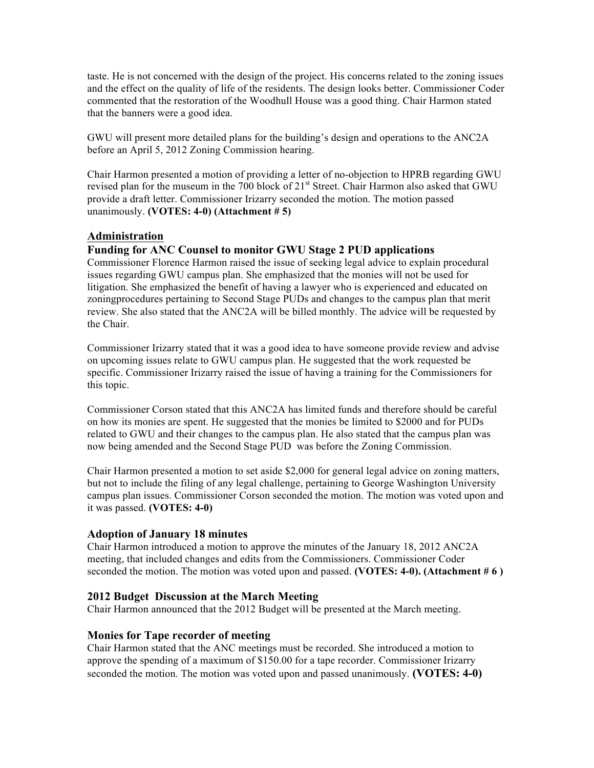taste. He is not concerned with the design of the project. His concerns related to the zoning issues and the effect on the quality of life of the residents. The design looks better. Commissioner Coder commented that the restoration of the Woodhull House was a good thing. Chair Harmon stated that the banners were a good idea.

GWU will present more detailed plans for the building's design and operations to the ANC2A before an April 5, 2012 Zoning Commission hearing.

Chair Harmon presented a motion of providing a letter of no-objection to HPRB regarding GWU revised plan for the museum in the 700 block of 21<sup>st</sup> Street. Chair Harmon also asked that GWU provide a draft letter. Commissioner Irizarry seconded the motion. The motion passed unanimously. **(VOTES: 4-0) (Attachment # 5)**

#### **Administration**

#### **Funding for ANC Counsel to monitor GWU Stage 2 PUD applications**

Commissioner Florence Harmon raised the issue of seeking legal advice to explain procedural issues regarding GWU campus plan. She emphasized that the monies will not be used for litigation. She emphasized the benefit of having a lawyer who is experienced and educated on zoningprocedures pertaining to Second Stage PUDs and changes to the campus plan that merit review. She also stated that the ANC2A will be billed monthly. The advice will be requested by the Chair.

Commissioner Irizarry stated that it was a good idea to have someone provide review and advise on upcoming issues relate to GWU campus plan. He suggested that the work requested be specific. Commissioner Irizarry raised the issue of having a training for the Commissioners for this topic.

Commissioner Corson stated that this ANC2A has limited funds and therefore should be careful on how its monies are spent. He suggested that the monies be limited to \$2000 and for PUDs related to GWU and their changes to the campus plan. He also stated that the campus plan was now being amended and the Second Stage PUD was before the Zoning Commission.

Chair Harmon presented a motion to set aside \$2,000 for general legal advice on zoning matters, but not to include the filing of any legal challenge, pertaining to George Washington University campus plan issues. Commissioner Corson seconded the motion. The motion was voted upon and it was passed. **(VOTES: 4-0)**

#### **Adoption of January 18 minutes**

Chair Harmon introduced a motion to approve the minutes of the January 18, 2012 ANC2A meeting, that included changes and edits from the Commissioners. Commissioner Coder seconded the motion. The motion was voted upon and passed. **(VOTES: 4-0). (Attachment # 6 )**

#### **2012 Budget Discussion at the March Meeting**

Chair Harmon announced that the 2012 Budget will be presented at the March meeting.

#### **Monies for Tape recorder of meeting**

Chair Harmon stated that the ANC meetings must be recorded. She introduced a motion to approve the spending of a maximum of \$150.00 for a tape recorder. Commissioner Irizarry seconded the motion. The motion was voted upon and passed unanimously. **(VOTES: 4-0)**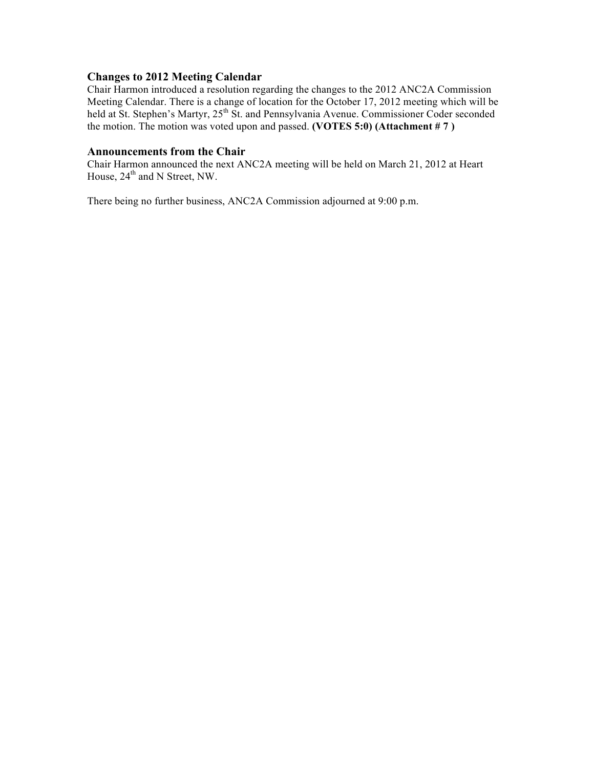#### **Changes to 2012 Meeting Calendar**

Chair Harmon introduced a resolution regarding the changes to the 2012 ANC2A Commission Meeting Calendar. There is a change of location for the October 17, 2012 meeting which will be held at St. Stephen's Martyr, 25<sup>th</sup> St. and Pennsylvania Avenue. Commissioner Coder seconded the motion. The motion was voted upon and passed. **(VOTES 5:0) (Attachment # 7 )**

### **Announcements from the Chair**

Chair Harmon announced the next ANC2A meeting will be held on March 21, 2012 at Heart House,  $24<sup>th</sup>$  and N Street, NW.

There being no further business, ANC2A Commission adjourned at 9:00 p.m.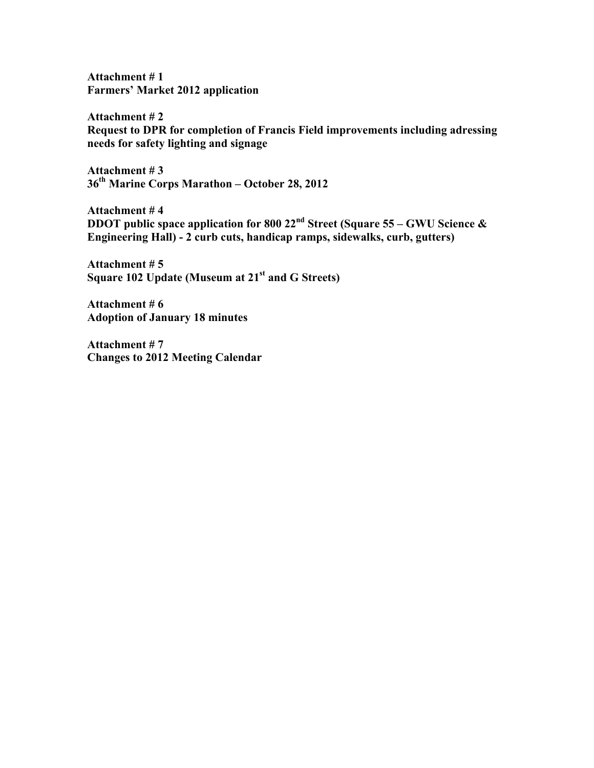**Attachment # 1 Farmers' Market 2012 application** 

**Attachment # 2 Request to DPR for completion of Francis Field improvements including adressing needs for safety lighting and signage**

**Attachment # 3 36th Marine Corps Marathon – October 28, 2012**

**Attachment # 4 DDOT public space application for 800 22nd Street (Square 55 – GWU Science & Engineering Hall) - 2 curb cuts, handicap ramps, sidewalks, curb, gutters)**

**Attachment # 5 Square 102 Update (Museum at 21st and G Streets)**

**Attachment # 6 Adoption of January 18 minutes**

**Attachment # 7 Changes to 2012 Meeting Calendar**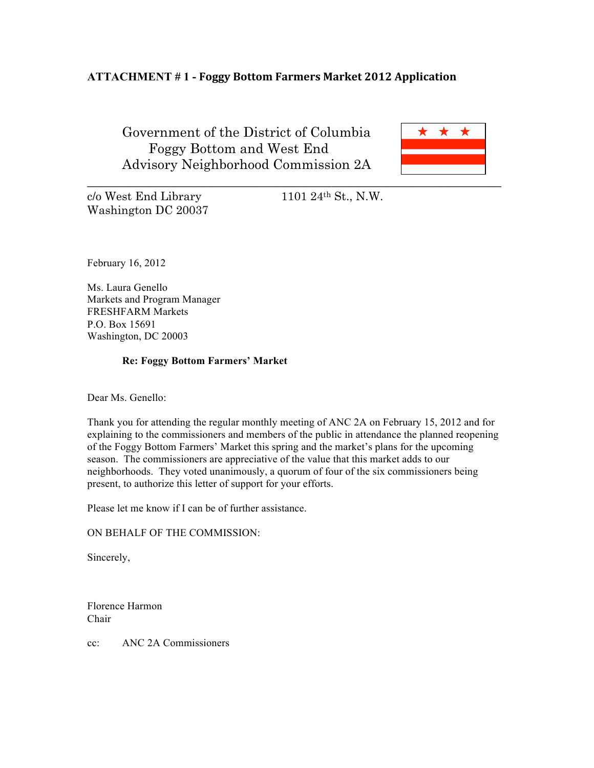# **ATTACHMENT # 1 - Foggy Bottom Farmers Market 2012 Application**

Government of the District of Columbia Foggy Bottom and West End Advisory Neighborhood Commission 2A



c/o West End Library 1101 24th St., N.W. Washington DC 20037

February 16, 2012

Ms. Laura Genello Markets and Program Manager FRESHFARM Markets P.O. Box 15691 Washington, DC 20003

#### **Re: Foggy Bottom Farmers' Market**

Dear Ms. Genello:

Thank you for attending the regular monthly meeting of ANC 2A on February 15, 2012 and for explaining to the commissioners and members of the public in attendance the planned reopening of the Foggy Bottom Farmers' Market this spring and the market's plans for the upcoming season. The commissioners are appreciative of the value that this market adds to our neighborhoods. They voted unanimously, a quorum of four of the six commissioners being present, to authorize this letter of support for your efforts.

Please let me know if I can be of further assistance.

ON BEHALF OF THE COMMISSION:

Sincerely,

Florence Harmon Chair

cc: ANC 2A Commissioners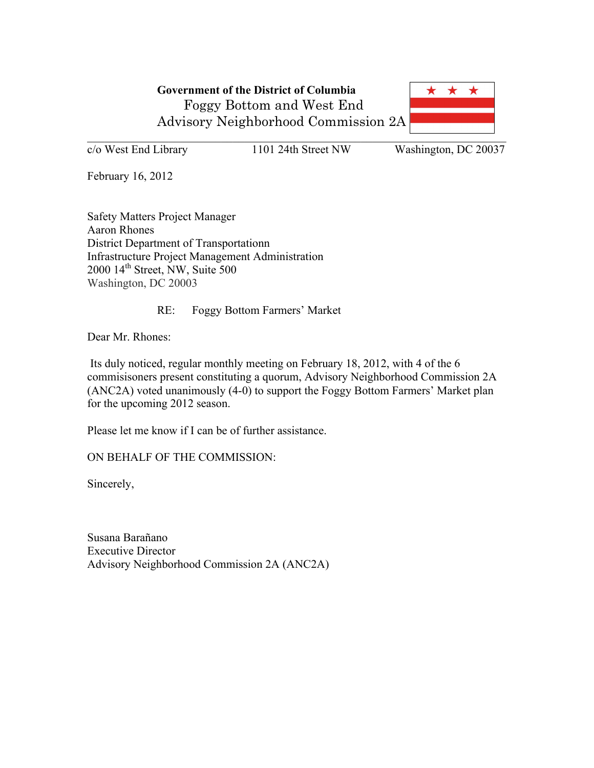

c/o West End Library 1101 24th Street NW Washington, DC 20037

February 16, 2012

Safety Matters Project Manager Aaron Rhones District Department of Transportationn Infrastructure Project Management Administration  $2000$   $14^{\text{th}}$  Street, NW, Suite 500 Washington, DC 20003

RE: Foggy Bottom Farmers' Market

Dear Mr. Rhones:

Its duly noticed, regular monthly meeting on February 18, 2012, with 4 of the 6 commisisoners present constituting a quorum, Advisory Neighborhood Commission 2A (ANC2A) voted unanimously (4-0) to support the Foggy Bottom Farmers' Market plan for the upcoming 2012 season.

Please let me know if I can be of further assistance.

ON BEHALF OF THE COMMISSION:

Sincerely,

Susana Barañano Executive Director Advisory Neighborhood Commission 2A (ANC2A)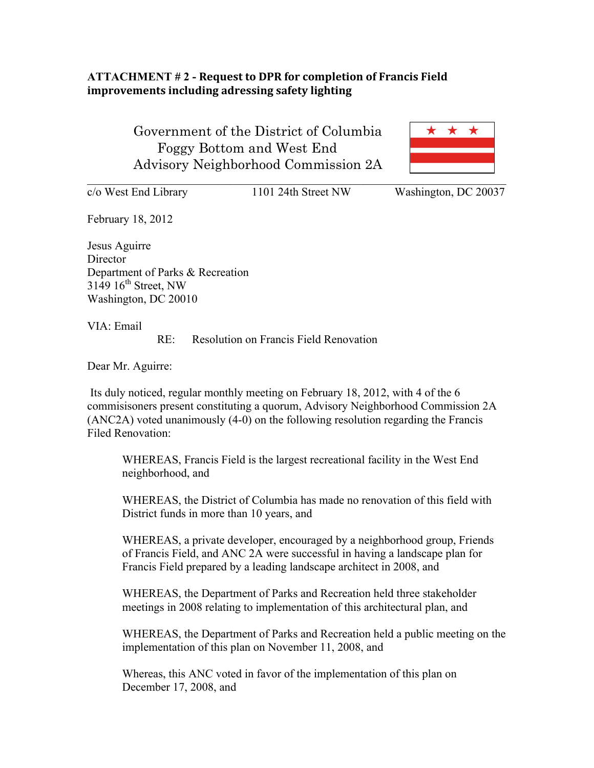# **ATTACHMENT #2 - Request to DPR for completion of Francis Field** improvements including adressing safety lighting

 Government of the District of Columbia Foggy Bottom and West End Advisory Neighborhood Commission 2A



c/o West End Library 1101 24th Street NW Washington, DC 20037

February 18, 2012 Jesus Aguirre

**Director** Department of Parks & Recreation  $3149$   $16^{\text{th}}$  Street, NW Washington, DC 20010

VIA: Email

RE: Resolution on Francis Field Renovation

Dear Mr. Aguirre:

Its duly noticed, regular monthly meeting on February 18, 2012, with 4 of the 6 commisisoners present constituting a quorum, Advisory Neighborhood Commission 2A (ANC2A) voted unanimously (4-0) on the following resolution regarding the Francis Filed Renovation:

WHEREAS, Francis Field is the largest recreational facility in the West End neighborhood, and

WHEREAS, the District of Columbia has made no renovation of this field with District funds in more than 10 years, and

WHEREAS, a private developer, encouraged by a neighborhood group, Friends of Francis Field, and ANC 2A were successful in having a landscape plan for Francis Field prepared by a leading landscape architect in 2008, and

WHEREAS, the Department of Parks and Recreation held three stakeholder meetings in 2008 relating to implementation of this architectural plan, and

WHEREAS, the Department of Parks and Recreation held a public meeting on the implementation of this plan on November 11, 2008, and

Whereas, this ANC voted in favor of the implementation of this plan on December 17, 2008, and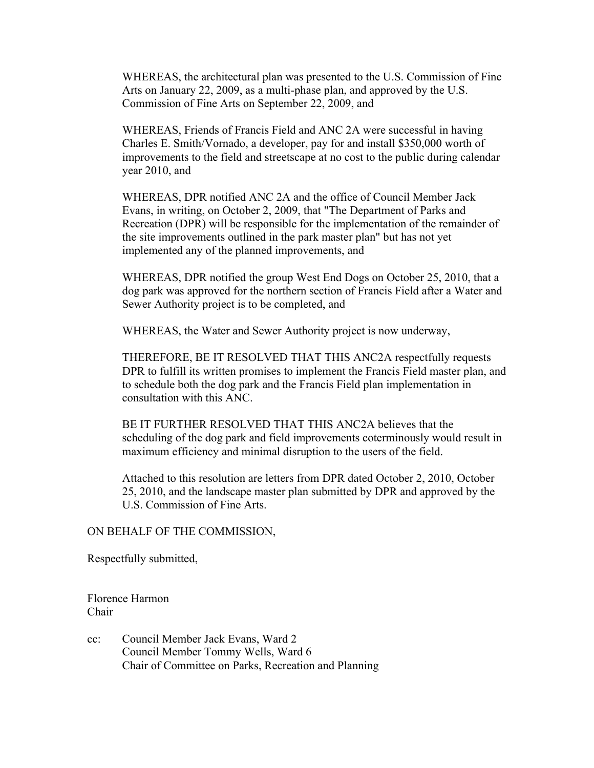WHEREAS, the architectural plan was presented to the U.S. Commission of Fine Arts on January 22, 2009, as a multi-phase plan, and approved by the U.S. Commission of Fine Arts on September 22, 2009, and

WHEREAS, Friends of Francis Field and ANC 2A were successful in having Charles E. Smith/Vornado, a developer, pay for and install \$350,000 worth of improvements to the field and streetscape at no cost to the public during calendar year 2010, and

WHEREAS, DPR notified ANC 2A and the office of Council Member Jack Evans, in writing, on October 2, 2009, that "The Department of Parks and Recreation (DPR) will be responsible for the implementation of the remainder of the site improvements outlined in the park master plan" but has not yet implemented any of the planned improvements, and

WHEREAS, DPR notified the group West End Dogs on October 25, 2010, that a dog park was approved for the northern section of Francis Field after a Water and Sewer Authority project is to be completed, and

WHEREAS, the Water and Sewer Authority project is now underway,

THEREFORE, BE IT RESOLVED THAT THIS ANC2A respectfully requests DPR to fulfill its written promises to implement the Francis Field master plan, and to schedule both the dog park and the Francis Field plan implementation in consultation with this ANC.

BE IT FURTHER RESOLVED THAT THIS ANC2A believes that the scheduling of the dog park and field improvements coterminously would result in maximum efficiency and minimal disruption to the users of the field.

Attached to this resolution are letters from DPR dated October 2, 2010, October 25, 2010, and the landscape master plan submitted by DPR and approved by the U.S. Commission of Fine Arts.

#### ON BEHALF OF THE COMMISSION,

Respectfully submitted,

Florence Harmon Chair

cc: Council Member Jack Evans, Ward 2 Council Member Tommy Wells, Ward 6 Chair of Committee on Parks, Recreation and Planning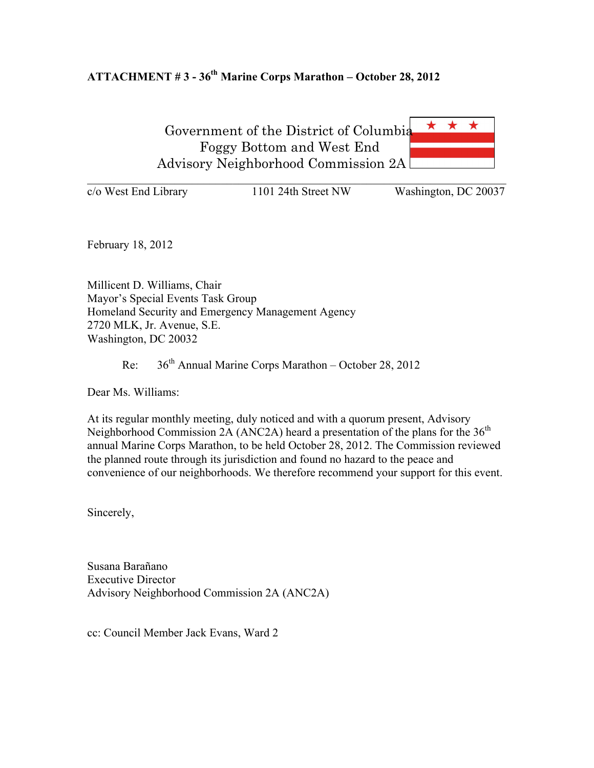# **ATTACHMENT # 3 - 36th Marine Corps Marathon – October 28, 2012**

\* \* Government of the District of Columbia Foggy Bottom and West End Advisory Neighborhood Commission 2A

 $\mathcal{L}_\text{max}$  , and the contribution of the contribution of the contribution of the contribution of the contribution of the contribution of the contribution of the contribution of the contribution of the contribution of t  $\overline{c}/\overline{o}$  West End Library 1101 24th Street NW Washington, DC 20037

February 18, 2012

Millicent D. Williams, Chair Mayor's Special Events Task Group Homeland Security and Emergency Management Agency 2720 MLK, Jr. Avenue, S.E. Washington, DC 20032

Re:  $36<sup>th</sup>$  Annual Marine Corps Marathon – October 28, 2012

Dear Ms. Williams:

At its regular monthly meeting, duly noticed and with a quorum present, Advisory Neighborhood Commission 2A (ANC2A) heard a presentation of the plans for the  $36<sup>th</sup>$ annual Marine Corps Marathon, to be held October 28, 2012. The Commission reviewed the planned route through its jurisdiction and found no hazard to the peace and convenience of our neighborhoods. We therefore recommend your support for this event.

Sincerely,

Susana Barañano Executive Director Advisory Neighborhood Commission 2A (ANC2A)

cc: Council Member Jack Evans, Ward 2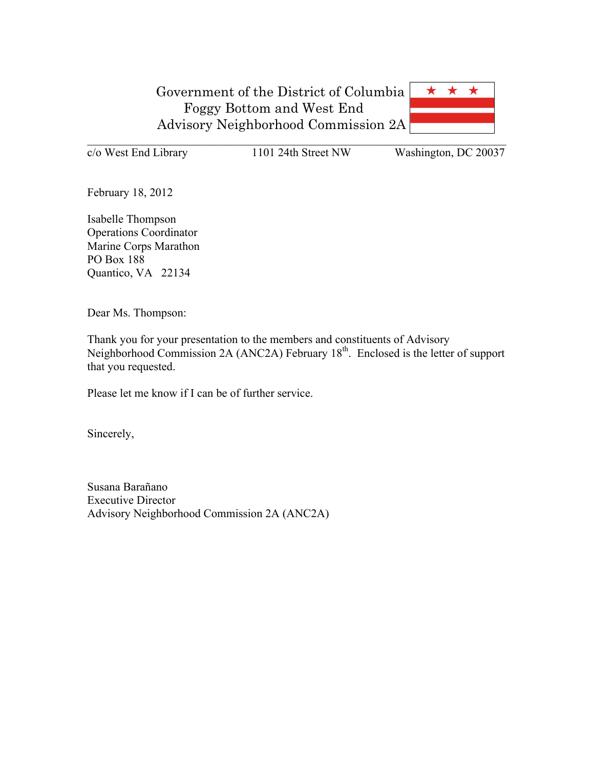

c/o West End Library 1101 24th Street NW Washington, DC 20037

February 18, 2012

Isabelle Thompson Operations Coordinator Marine Corps Marathon PO Box 188 Quantico, VA 22134

Dear Ms. Thompson:

Thank you for your presentation to the members and constituents of Advisory Neighborhood Commission 2A (ANC2A) February 18<sup>th</sup>. Enclosed is the letter of support that you requested.

Please let me know if I can be of further service.

Sincerely,

Susana Barañano Executive Director Advisory Neighborhood Commission 2A (ANC2A)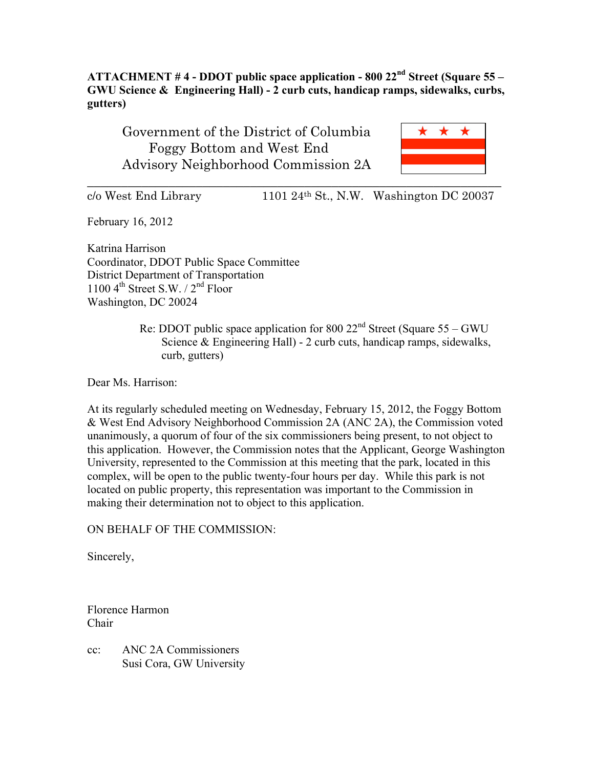**ATTACHMENT # 4 - DDOT public space application - 800 22nd Street (Square 55 – GWU Science & Engineering Hall) - 2 curb cuts, handicap ramps, sidewalks, curbs, gutters)**

Government of the District of Columbia Foggy Bottom and West End Advisory Neighborhood Commission 2A



 $c/\text{o}$  West End Library 1101 24<sup>th</sup> St., N.W. Washington DC 20037

February 16, 2012

Katrina Harrison Coordinator, DDOT Public Space Committee District Department of Transportation 1100  $4^{\text{th}}$  Street S.W. /  $2^{\text{nd}}$  Floor Washington, DC 20024

> Re: DDOT public space application for 800  $22<sup>nd</sup>$  Street (Square 55 – GWU) Science & Engineering Hall) - 2 curb cuts, handicap ramps, sidewalks, curb, gutters)

Dear Ms. Harrison:

At its regularly scheduled meeting on Wednesday, February 15, 2012, the Foggy Bottom & West End Advisory Neighborhood Commission 2A (ANC 2A), the Commission voted unanimously, a quorum of four of the six commissioners being present, to not object to this application. However, the Commission notes that the Applicant, George Washington University, represented to the Commission at this meeting that the park, located in this complex, will be open to the public twenty-four hours per day. While this park is not located on public property, this representation was important to the Commission in making their determination not to object to this application.

ON BEHALF OF THE COMMISSION:

Sincerely,

Florence Harmon Chair

cc: ANC 2A Commissioners Susi Cora, GW University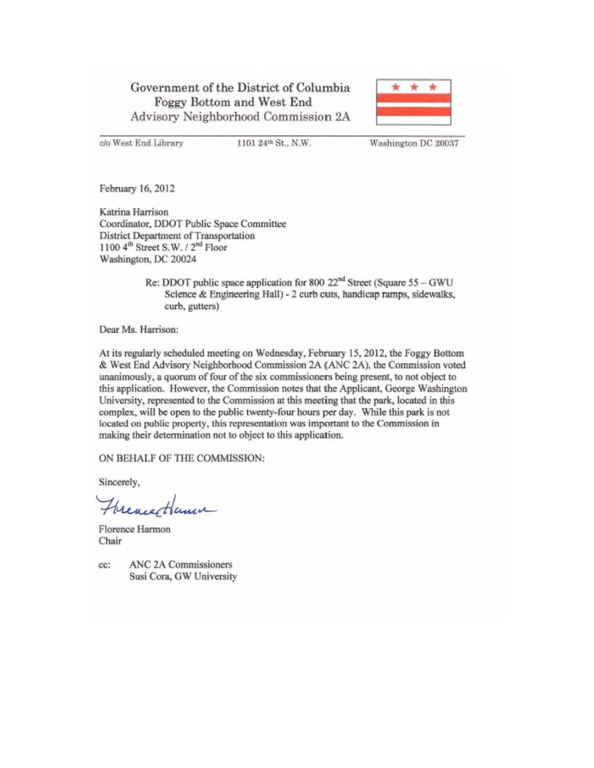# Government of the District of Columbia Foggy Bottom and West End Advisory Neighborhood Commission 2A



c/o West End Library

1101 24th St., N.W.

Washington DC 20037

February 16, 2012

Katrina Harrison Coordinator, DDOT Public Space Committee District Department of Transportation 1100 4th Street S.W. / 2<sup>nd</sup> Floor Washington, DC 20024

> Re: DDOT public space application for 800  $22<sup>nd</sup>$  Street (Square 55 – GWU Science & Engineering Hall) - 2 curb cuts, handicap ramps, sidewalks, curb, gutters)

Dear Ms. Harrison:

At its regularly scheduled meeting on Wednesday, February 15, 2012, the Foggy Bottom & West End Advisory Neighborhood Commission 2A (ANC 2A), the Commission voted unanimously, a quorum of four of the six commissioners being present, to not object to this application. However, the Commission notes that the Applicant, George Washington University, represented to the Commission at this meeting that the park, located in this complex, will be open to the public twenty-four hours per day. While this park is not located on public property, this representation was important to the Commission in making their determination not to object to this application.

ON BEHALF OF THE COMMISSION:

Sincerely,

Frencettama

Florence Harmon Chair

cc:

ANC 2A Commissioners Susi Cora, GW University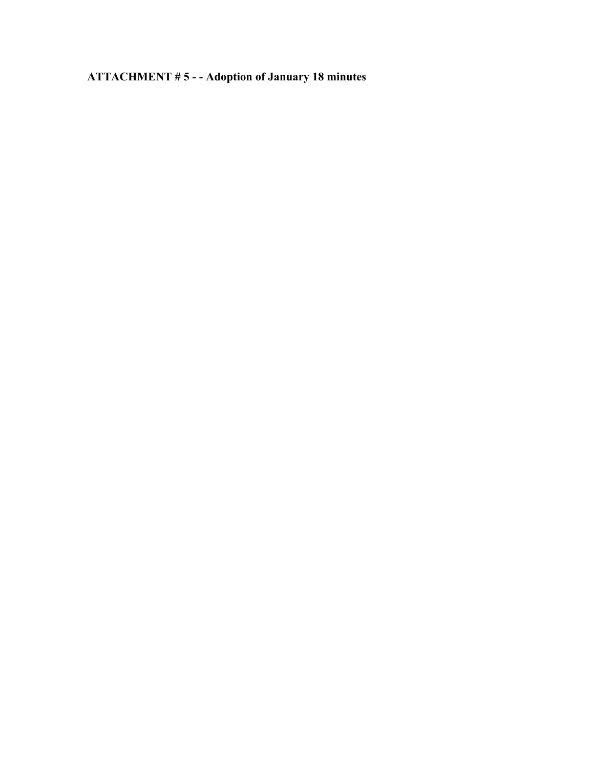**ATTACHMENT # 5 - - Adoption of January 18 minutes**